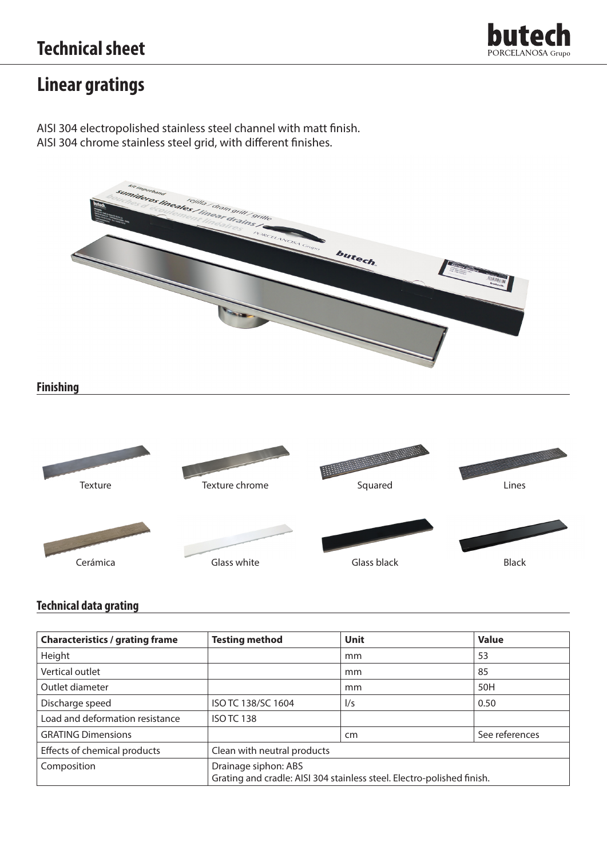

## **Linear gratings**

AISI 304 electropolished stainless steel channel with matt finish. AISI 304 chrome stainless steel grid, with different finishes.





### **Technical data grating**

| <b>Characteristics / grating frame</b> | <b>Testing method</b>                                                                          | Unit          | <b>Value</b>   |
|----------------------------------------|------------------------------------------------------------------------------------------------|---------------|----------------|
| Height                                 |                                                                                                | mm            | 53             |
| Vertical outlet                        |                                                                                                | mm            | 85             |
| Outlet diameter                        |                                                                                                | mm            | 50H            |
| Discharge speed                        | ISO TC 138/SC 1604                                                                             | $\frac{1}{s}$ | 0.50           |
| Load and deformation resistance        | <b>ISO TC 138</b>                                                                              |               |                |
| <b>GRATING Dimensions</b>              |                                                                                                | cm            | See references |
| Effects of chemical products           | Clean with neutral products                                                                    |               |                |
| Composition                            | Drainage siphon: ABS<br>Grating and cradle: AISI 304 stainless steel. Electro-polished finish. |               |                |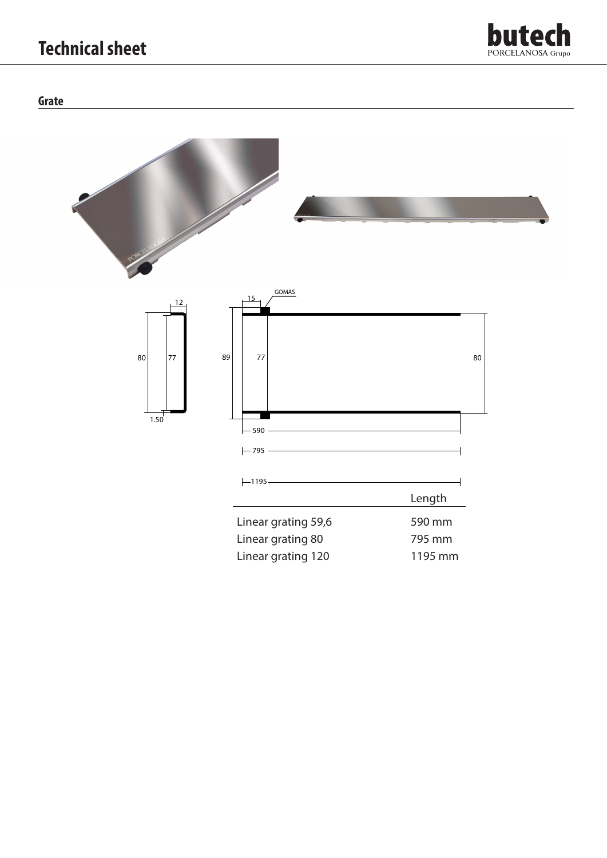# **Technical sheet**



### **Grate**

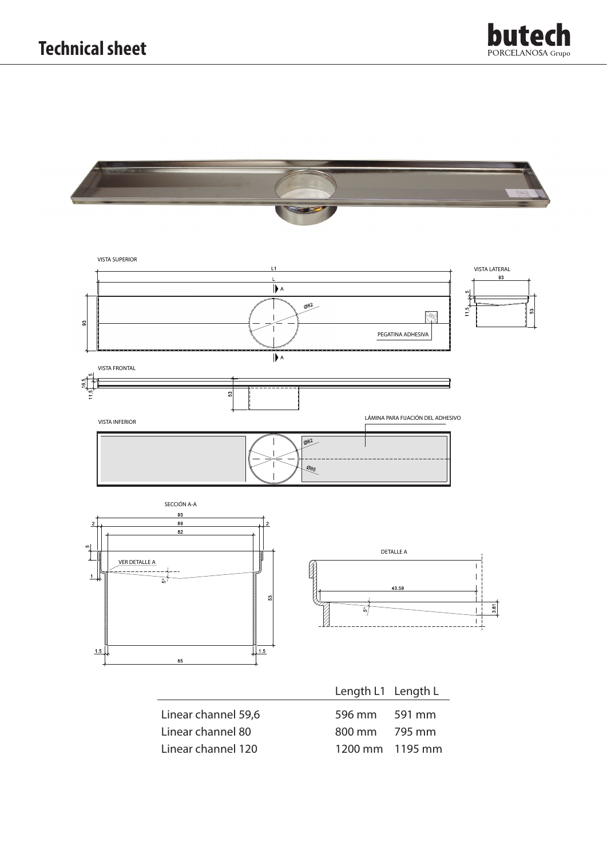